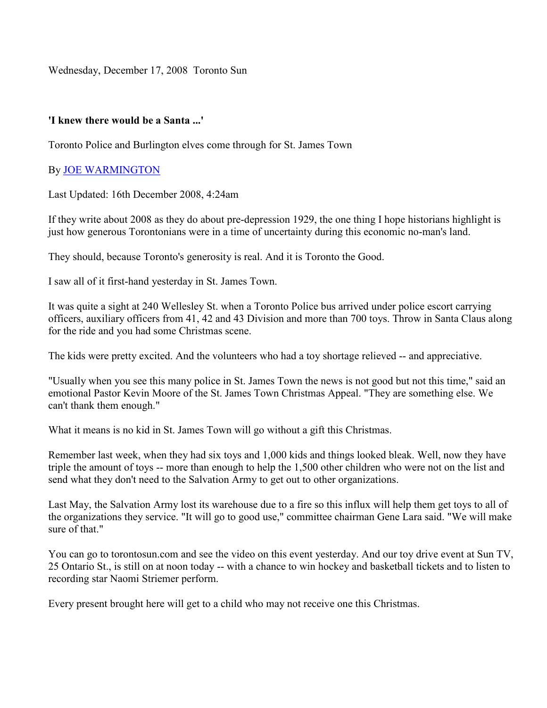Wednesday, December 17, 2008 Toronto Sun

## 'I knew there would be a Santa ...'

Toronto Police and Burlington elves come through for St. James Town

## By JOE WARMINGTON

Last Updated: 16th December 2008, 4:24am

If they write about 2008 as they do about pre-depression 1929, the one thing I hope historians highlight is just how generous Torontonians were in a time of uncertainty during this economic no-man's land.

They should, because Toronto's generosity is real. And it is Toronto the Good.

I saw all of it first-hand yesterday in St. James Town.

It was quite a sight at 240 Wellesley St. when a Toronto Police bus arrived under police escort carrying officers, auxiliary officers from 41, 42 and 43 Division and more than 700 toys. Throw in Santa Claus along for the ride and you had some Christmas scene.

The kids were pretty excited. And the volunteers who had a toy shortage relieved -- and appreciative.

"Usually when you see this many police in St. James Town the news is not good but not this time," said an emotional Pastor Kevin Moore of the St. James Town Christmas Appeal. "They are something else. We can't thank them enough."

What it means is no kid in St. James Town will go without a gift this Christmas.

Remember last week, when they had six toys and 1,000 kids and things looked bleak. Well, now they have triple the amount of toys -- more than enough to help the 1,500 other children who were not on the list and send what they don't need to the Salvation Army to get out to other organizations.

Last May, the Salvation Army lost its warehouse due to a fire so this influx will help them get toys to all of the organizations they service. "It will go to good use," committee chairman Gene Lara said. "We will make sure of that."

You can go to torontosun.com and see the video on this event yesterday. And our toy drive event at Sun TV, 25 Ontario St., is still on at noon today -- with a chance to win hockey and basketball tickets and to listen to recording star Naomi Striemer perform.

Every present brought here will get to a child who may not receive one this Christmas.